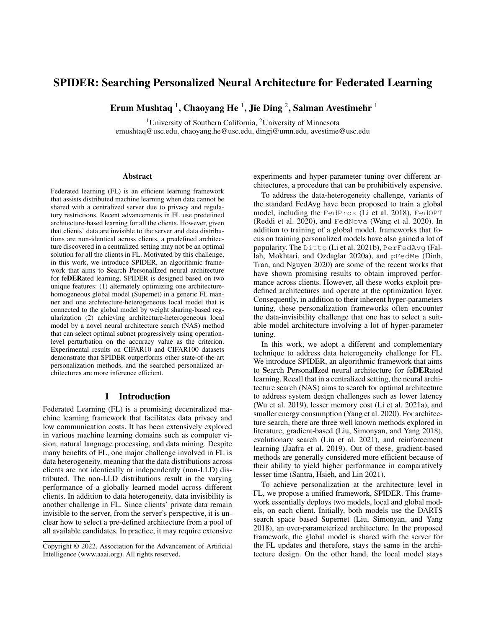# SPIDER: Searching Personalized Neural Architecture for Federated Learning

Erum Mushtaq  $^1$ , Chaoyang He  $^1$ , Jie Ding  $^2$ , Salman Avestimehr  $^1$ 

<sup>1</sup>University of Southern California, <sup>2</sup>University of Minnesota emushtaq@usc.edu, chaoyang.he@usc.edu, dingj@umn.edu, avestime@usc.edu

#### **Abstract**

Federated learning (FL) is an efficient learning framework that assists distributed machine learning when data cannot be shared with a centralized server due to privacy and regulatory restrictions. Recent advancements in FL use predefined architecture-based learning for all the clients. However, given that clients' data are invisible to the server and data distributions are non-identical across clients, a predefined architecture discovered in a centralized setting may not be an optimal solution for all the clients in FL. Motivated by this challenge, in this work, we introduce SPIDER, an algorithmic framework that aims to Search PersonalIzed neural architecture for feDERated learning. SPIDER is designed based on two unique features: (1) alternately optimizing one architecturehomogeneous global model (Supernet) in a generic FL manner and one architecture-heterogeneous local model that is connected to the global model by weight sharing-based regularization (2) achieving architecture-heterogeneous local model by a novel neural architecture search (NAS) method that can select optimal subnet progressively using operationlevel perturbation on the accuracy value as the criterion. Experimental results on CIFAR10 and CIFAR100 datasets demonstrate that SPIDER outperforms other state-of-the-art personalization methods, and the searched personalized architectures are more inference efficient.

## 1 Introduction

Federated Learning (FL) is a promising decentralized machine learning framework that facilitates data privacy and low communication costs. It has been extensively explored in various machine learning domains such as computer vision, natural language processing, and data mining. Despite many benefits of FL, one major challenge involved in FL is data heterogeneity, meaning that the data distributions across clients are not identically or independently (non-I.I.D) distributed. The non-I.I.D distributions result in the varying performance of a globally learned model across different clients. In addition to data heterogeneity, data invisibility is another challenge in FL. Since clients' private data remain invisible to the server, from the server's perspective, it is unclear how to select a pre-defined architecture from a pool of all available candidates. In practice, it may require extensive

experiments and hyper-parameter tuning over different architectures, a procedure that can be prohibitively expensive.

To address the data-heterogeneity challenge, variants of the standard FedAvg have been proposed to train a global model, including the FedProx (Li et al. 2018), FedOPT (Reddi et al. 2020), and FedNova (Wang et al. 2020). In addition to training of a global model, frameworks that focus on training personalized models have also gained a lot of popularity. The Ditto (Li et al. 2021b), PerFedAvg (Fallah, Mokhtari, and Ozdaglar 2020a), and pFedMe (Dinh, Tran, and Nguyen 2020) are some of the recent works that have shown promising results to obtain improved performance across clients. However, all these works exploit predefined architectures and operate at the optimization layer. Consequently, in addition to their inherent hyper-parameters tuning, these personalization frameworks often encounter the data-invisibility challenge that one has to select a suitable model architecture involving a lot of hyper-parameter tuning.

In this work, we adopt a different and complementary technique to address data heterogeneity challenge for FL. We introduce SPIDER, an algorithmic framework that aims to Search PersonalIzed neural architecture for feDERated learning. Recall that in a centralized setting, the neural architecture search (NAS) aims to search for optimal architecture to address system design challenges such as lower latency (Wu et al. 2019), lesser memory cost (Li et al. 2021a), and smaller energy consumption (Yang et al. 2020). For architecture search, there are three well known methods explored in literature, gradient-based (Liu, Simonyan, and Yang 2018), evolutionary search (Liu et al. 2021), and reinforcement learning (Jaafra et al. 2019). Out of these, gradient-based methods are generally considered more efficient because of their ability to yield higher performance in comparatively lesser time (Santra, Hsieh, and Lin 2021).

To achieve personalization at the architecture level in FL, we propose a unified framework, SPIDER. This framework essentially deploys two models, local and global models, on each client. Initially, both models use the DARTS search space based Supernet (Liu, Simonyan, and Yang 2018), an over-parameterized architecture. In the proposed framework, the global model is shared with the server for the FL updates and therefore, stays the same in the architecture design. On the other hand, the local model stays

Copyright © 2022, Association for the Advancement of Artificial Intelligence (www.aaai.org). All rights reserved.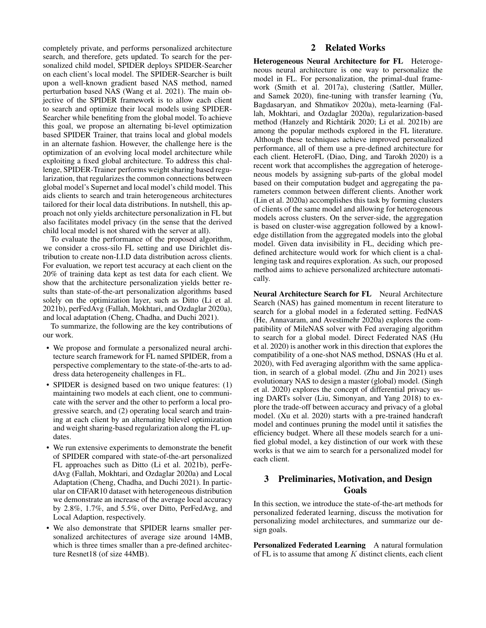completely private, and performs personalized architecture search, and therefore, gets updated. To search for the personalized child model, SPIDER deploys SPIDER-Searcher on each client's local model. The SPIDER-Searcher is built upon a well-known gradient based NAS method, named perturbation based NAS (Wang et al. 2021). The main objective of the SPIDER framework is to allow each client to search and optimize their local models using SPIDER-Searcher while benefiting from the global model. To achieve this goal, we propose an alternating bi-level optimization based SPIDER Trainer, that trains local and global models in an alternate fashion. However, the challenge here is the optimization of an evolving local model architecture while exploiting a fixed global architecture. To address this challenge, SPIDER-Trainer performs weight sharing based regularization, that regularizes the common connections between global model's Supernet and local model's child model. This aids clients to search and train heterogeneous architectures tailored for their local data distributions. In nutshell, this approach not only yields architecture personalization in FL but also facilitates model privacy (in the sense that the derived child local model is not shared with the server at all).

To evaluate the performance of the proposed algorithm, we consider a cross-silo FL setting and use Dirichlet distribution to create non-I.I.D data distribution across clients. For evaluation, we report test accuracy at each client on the 20% of training data kept as test data for each client. We show that the architecture personalization yields better results than state-of-the-art personalization algorithms based solely on the optimization layer, such as Ditto (Li et al. 2021b), perFedAvg (Fallah, Mokhtari, and Ozdaglar 2020a), and local adaptation (Cheng, Chadha, and Duchi 2021).

To summarize, the following are the key contributions of our work.

- We propose and formulate a personalized neural architecture search framework for FL named SPIDER, from a perspective complementary to the state-of-the-arts to address data heterogeneity challenges in FL.
- SPIDER is designed based on two unique features: (1) maintaining two models at each client, one to communicate with the server and the other to perform a local progressive search, and (2) operating local search and training at each client by an alternating bilevel optimization and weight sharing-based regularization along the FL updates.
- We run extensive experiments to demonstrate the benefit of SPIDER compared with state-of-the-art personalized FL approaches such as Ditto (Li et al. 2021b), perFedAvg (Fallah, Mokhtari, and Ozdaglar 2020a) and Local Adaptation (Cheng, Chadha, and Duchi 2021). In particular on CIFAR10 dataset with heterogeneous distribution we demonstrate an increase of the average local accuracy by 2.8%, 1.7%, and 5.5%, over Ditto, PerFedAvg, and Local Adaption, respectively.
- We also demonstrate that SPIDER learns smaller personalized architectures of average size around 14MB, which is three times smaller than a pre-defined architecture Resnet18 (of size 44MB).

## 2 Related Works

Heterogeneous Neural Architecture for FL Heterogeneous neural architecture is one way to personalize the model in FL. For personalization, the primal-dual framework (Smith et al. 2017a), clustering (Sattler, Müller, and Samek 2020), fine-tuning with transfer learning (Yu, Bagdasaryan, and Shmatikov 2020a), meta-learning (Fallah, Mokhtari, and Ozdaglar 2020a), regularization-based method (Hanzely and Richtárik 2020; Li et al. 2021b) are among the popular methods explored in the FL literature. Although these techniques achieve improved personalized performance, all of them use a pre-defined architecture for each client. HeteroFL (Diao, Ding, and Tarokh 2020) is a recent work that accomplishes the aggregation of heterogeneous models by assigning sub-parts of the global model based on their computation budget and aggregating the parameters common between different clients. Another work (Lin et al. 2020a) accomplishes this task by forming clusters of clients of the same model and allowing for heterogeneous models across clusters. On the server-side, the aggregation is based on cluster-wise aggregation followed by a knowledge distillation from the aggregated models into the global model. Given data invisibility in FL, deciding which predefined architecture would work for which client is a challenging task and requires exploration. As such, our proposed method aims to achieve personalized architecture automatically.

Neural Architecture Search for FL Neural Architecture Search (NAS) has gained momentum in recent literature to search for a global model in a federated setting. FedNAS (He, Annavaram, and Avestimehr 2020a) explores the compatibility of MileNAS solver with Fed averaging algorithm to search for a global model. Direct Federated NAS (Hu et al. 2020) is another work in this direction that explores the compatibility of a one-shot NAS method, DSNAS (Hu et al. 2020), with Fed averaging algorithm with the same application, in search of a global model. (Zhu and Jin 2021) uses evolutionary NAS to design a master (global) model. (Singh et al. 2020) explores the concept of differential privacy using DARTs solver (Liu, Simonyan, and Yang 2018) to explore the trade-off between accuracy and privacy of a global model. (Xu et al. 2020) starts with a pre-trained handcraft model and continues pruning the model until it satisfies the efficiency budget. Where all these models search for a unified global model, a key distinction of our work with these works is that we aim to search for a personalized model for each client.

# 3 Preliminaries, Motivation, and Design Goals

In this section, we introduce the state-of-the-art methods for personalized federated learning, discuss the motivation for personalizing model architectures, and summarize our design goals.

Personalized Federated Learning A natural formulation of FL is to assume that among  $K$  distinct clients, each client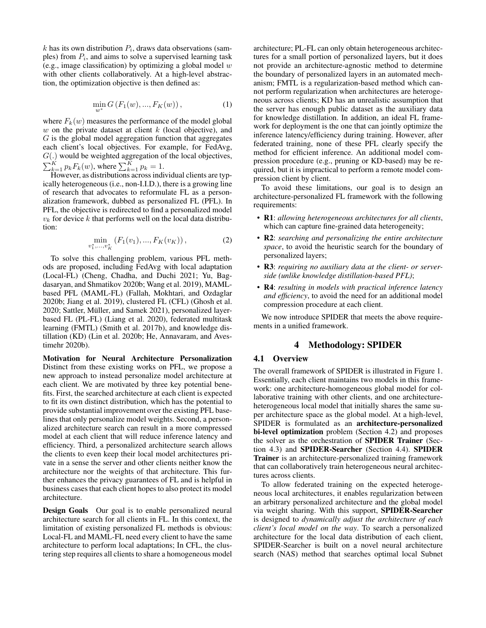$k$  has its own distribution  $P_i$ , draws data observations (samples) from  $P_i$ , and aims to solve a supervised learning task (e.g., image classification) by optimizing a global model  $w$ with other clients collaboratively. At a high-level abstraction, the optimization objective is then defined as:

$$
\min_{w^*} G\left(F_1(w), ..., F_K(w)\right),\tag{1}
$$

where  $F_k(w)$  measures the performance of the model global  $w$  on the private dataset at client  $k$  (local objective), and  $G$  is the global model aggregation function that aggregates each client's local objectives. For example, for FedAvg, G(.) would be weighted aggregation of the local objectives,  $\sum_{k=1}^{K} p_k F_k(w)$ , where  $\sum_{k=1}^{K} p_k = 1$ .

However, as distributions across individual clients are typically heterogeneous (i.e., non-I.I.D.), there is a growing line of research that advocates to reformulate FL as a personalization framework, dubbed as personalized FL (PFL). In PFL, the objective is redirected to find a personalized model  $v_k$  for device k that performs well on the local data distribution:

$$
\min_{v_1^*,...,v_K^*} (F_1(v_1),...,F_K(v_K)),
$$
\n(2)

To solve this challenging problem, various PFL methods are proposed, including FedAvg with local adaptation (Local-FL) (Cheng, Chadha, and Duchi 2021; Yu, Bagdasaryan, and Shmatikov 2020b; Wang et al. 2019), MAMLbased PFL (MAML-FL) (Fallah, Mokhtari, and Ozdaglar 2020b; Jiang et al. 2019), clustered FL (CFL) (Ghosh et al. 2020; Sattler, Müller, and Samek 2021), personalized layerbased FL (PL-FL) (Liang et al. 2020), federated multitask learning (FMTL) (Smith et al. 2017b), and knowledge distillation (KD) (Lin et al. 2020b; He, Annavaram, and Avestimehr 2020b).

Motivation for Neural Architecture Personalization Distinct from these existing works on PFL, we propose a new approach to instead personalize model architecture at each client. We are motivated by three key potential benefits. First, the searched architecture at each client is expected to fit its own distinct distribution, which has the potential to provide substantial improvement over the existing PFL baselines that only personalize model weights. Second, a personalized architecture search can result in a more compressed model at each client that will reduce inference latency and efficiency. Third, a personalized architecture search allows the clients to even keep their local model architectures private in a sense the server and other clients neither know the architecture nor the weights of that architecture. This further enhances the privacy guarantees of FL and is helpful in business cases that each client hopes to also protect its model architecture.

Design Goals Our goal is to enable personalized neural architecture search for all clients in FL. In this context, the limitation of existing personalized FL methods is obvious: Local-FL and MAML-FL need every client to have the same architecture to perform local adaptations; In CFL, the clustering step requires all clients to share a homogeneous model

architecture; PL-FL can only obtain heterogeneous architectures for a small portion of personalized layers, but it does not provide an architecture-agnostic method to determine the boundary of personalized layers in an automated mechanism; FMTL is a regularization-based method which cannot perform regularization when architectures are heterogeneous across clients; KD has an unrealistic assumption that the server has enough public dataset as the auxiliary data for knowledge distillation. In addition, an ideal FL framework for deployment is the one that can jointly optimize the inference latency/efficiency during training. However, after federated training, none of these PFL clearly specify the method for efficient inference. An additional model compression procedure (e.g., pruning or KD-based) may be required, but it is impractical to perform a remote model compression client by client.

To avoid these limitations, our goal is to design an architecture-personalized FL framework with the following requirements:

- R1: *allowing heterogeneous architectures for all clients*, which can capture fine-grained data heterogeneity;
- R2: *searching and personalizing the entire architecture space*, to avoid the heuristic search for the boundary of personalized layers;
- R3: *requiring no auxiliary data at the client- or serverside (unlike knowledge distillation-based PFL)*;
- R4: *resulting in models with practical inference latency and efficiency*, to avoid the need for an additional model compression procedure at each client.

We now introduce SPIDER that meets the above requirements in a unified framework.

## 4 Methodology: SPIDER

#### 4.1 Overview

The overall framework of SPIDER is illustrated in Figure 1. Essentially, each client maintains two models in this framework: one architecture-homogeneous global model for collaborative training with other clients, and one architectureheterogeneous local model that initially shares the same super architecture space as the global model. At a high-level, SPIDER is formulated as an architecture-personalized bi-level optimization problem (Section 4.2) and proposes the solver as the orchestration of SPIDER Trainer (Section 4.3) and SPIDER-Searcher (Section 4.4). SPIDER Trainer is an architecture-personalized training framework that can collaboratively train heterogeneous neural architectures across clients.

To allow federated training on the expected heterogeneous local architectures, it enables regularization between an arbitrary personalized architecture and the global model via weight sharing. With this support, SPIDER-Searcher is designed to *dynamically adjust the architecture of each client's local model on the way*. To search a personalized architecture for the local data distribution of each client, SPIDER-Searcher is built on a novel neural architecture search (NAS) method that searches optimal local Subnet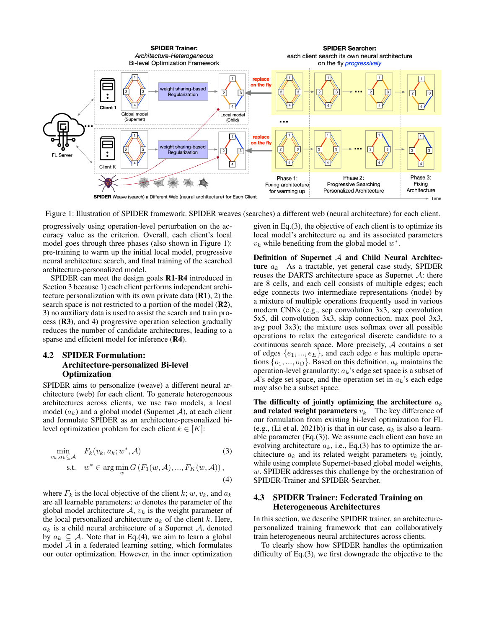

Figure 1: Illustration of SPIDER framework. SPIDER weaves (searches) a different web (neural architecture) for each client.

progressively using operation-level perturbation on the accuracy value as the criterion. Overall, each client's local model goes through three phases (also shown in Figure 1): pre-training to warm up the initial local model, progressive neural architecture search, and final training of the searched architecture-personalized model.

SPIDER can meet the design goals R1-R4 introduced in Section 3 because 1) each client performs independent architecture personalization with its own private data  $(R1)$ , 2) the search space is not restricted to a portion of the model (R2), 3) no auxiliary data is used to assist the search and train process (R3), and 4) progressive operation selection gradually reduces the number of candidate architectures, leading to a sparse and efficient model for inference (R4).

### 4.2 SPIDER Formulation: Architecture-personalized Bi-level **Optimization**

SPIDER aims to personalize (weave) a different neural architecture (web) for each client. To generate heterogeneous architectures across clients, we use two models, a local model  $(a_k)$  and a global model (Supernet A), at each client and formulate SPIDER as an architecture-personalized bilevel optimization problem for each client  $k \in [K]$ :

$$
\min_{v_k, a_k \subseteq \mathcal{A}} F_k(v_k, a_k; w^*, \mathcal{A})
$$
\n
$$
\text{s.t.} \quad w^* \in \arg\min_{w} G\left(F_1(w, \mathcal{A}), ..., F_K(w, \mathcal{A})\right),
$$
\n
$$
\tag{4}
$$

where  $F_k$  is the local objective of the client k; w,  $v_k$ , and  $a_k$ are all learnable parameters;  $w$  denotes the parameter of the global model architecture  $A, v_k$  is the weight parameter of the local personalized architecture  $a_k$  of the client k. Here,  $a_k$  is a child neural architecture of a Supernet A, denoted by  $a_k \subseteq A$ . Note that in Eq.(4), we aim to learn a global model  $A$  in a federated learning setting, which formulates our outer optimization. However, in the inner optimization

given in Eq.(3), the objective of each client is to optimize its local model's architecture  $a_k$  and its associated parameters  $v_k$  while benefiting from the global model  $w^*$ .

Definition of Supernet  $A$  and Child Neural Architecture  $a_k$ . As a tractable, yet general case study, SPIDER reuses the DARTS architecture space as Supernet  $A$ : there are 8 cells, and each cell consists of multiple edges; each edge connects two intermediate representations (node) by a mixture of multiple operations frequently used in various modern CNNs (e.g., sep convolution 3x3, sep convolution 5x5, dil convolution 3x3, skip connection, max pool 3x3, avg pool 3x3); the mixture uses softmax over all possible operations to relax the categorical discrete candidate to a continuous search space. More precisely,  $A$  contains a set of edges  $\{e_1, ..., e_E\}$ , and each edge e has multiple operations  $\{o_1, ..., o_O\}$ . Based on this definition,  $a_k$  maintains the operation-level granularity:  $a_k$ 's edge set space is a subset of  $A$ 's edge set space, and the operation set in  $a_k$ 's each edge may also be a subset space.

The difficulty of jointly optimizing the architecture  $a_k$ and related weight parameters  $v_k$  The key difference of our formulation from existing bi-level optimization for FL (e.g., (Li et al. 2021b)) is that in our case,  $a_k$  is also a learnable parameter (Eq.(3)). We assume each client can have an evolving architecture  $a_k$ , i.e., Eq.(3) has to optimize the architecture  $a_k$  and its related weight parameters  $v_k$  jointly, while using complete Supernet-based global model weights, w. SPIDER addresses this challenge by the orchestration of SPIDER-Trainer and SPIDER-Searcher.

### 4.3 SPIDER Trainer: Federated Training on Heterogeneous Architectures

In this section, we describe SPIDER trainer, an architecturepersonalized training framework that can collaboratively train heterogeneous neural architectures across clients.

To clearly show how SPIDER handles the optimization difficulty of Eq.(3), we first downgrade the objective to the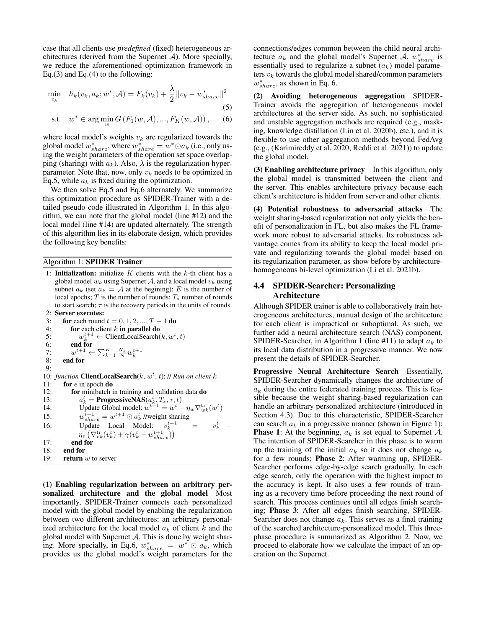case that all clients use *predefined* (fixed) heterogeneous architectures (derived from the Supernet  $A$ ). More specially, we reduce the aforementioned optimization framework in Eq.(3) and Eq.(4) to the following:

$$
\min_{v_k} \quad h_k(v_k, a_k; w^*, \mathcal{A}) = F_k(v_k) + \frac{\lambda}{2} ||v_k - w^*_{share}||^2
$$
\n(5)

s.t.  $w^* \in \arg\min_{w} G(F_1(w, A), ..., F_K(w, A)),$  (6) where local model's weights  $v_k$  are regularized towards the

global model  $w^*_{share}$ , where  $w^*_{share} = w^* \odot a_k$  (i.e., only using the weight parameters of the operation set space overlapping (sharing) with  $a_k$ ). Also,  $\lambda$  is the regularization hyperparameter. Note that, now, only  $v_k$  needs to be optimized in Eq.5, while  $a_k$  is fixed during the optimization.

We then solve Eq.5 and Eq.6 alternately. We summarize this optimization procedure as SPIDER-Trainer with a detailed pseudo code illustrated in Algorithm 1. In this algorithm, we can note that the global model (line #12) and the local model (line #14) are updated alternately. The strength of this algorithm lies in its elaborate design, which provides the following key benefits:

## Algorithm 1: SPIDER Trainer

1: **Initialization:** initialize  $K$  clients with the  $k$ -th client has a global model  $w_k$  using Supernet A, and a local model  $v_k$  using subnet  $a_k$  (set  $a_k = A$  at the begining); E is the number of local epochs;  $T$  is the number of rounds;  $T_s$  number of rounds to start search;  $\tau$  is the recovery periods in the units of rounds. 2: Server executes:

```
3: for each round t = 0, 1, 2, ..., T - 1 do
 4: for each client k in parallel do
 5: w_k^{t+1} \leftarrow \text{ClientLocalSearch}(k, w^t, t)6: end for
 7: w^{t+1} \leftarrow \sum_{k=1}^K \frac{N_k}{N} w_k^{t+1}8: end for
 9:
10: function ClientLocalSearch(k, w<sup>t</sup>, t): // Run on client k
11: for e in epoch do
12: for minibatch in training and validation data do
13:t_k^t = \mathbf{ProgressiveNAS}(a_k^t, T_s, \tau, t)14: Update Global model: w^{t+1} = w^t - \eta_w \nabla_{wk}^{\text{tr}}(w^t)15:t^{t+1}_{share} = w^{t+1} \odot a_k^t //weight sharing
16: Update Local Model: v_k^{t+1} = v\begin{array}{cc} t & - \end{array}\eta_v\left(\nabla^{\mathrm{tr}}_{vk}(v^t_k) + \gamma (v^t_k - w^{t+1}_{share})\right)17: end for
18: end for
19: return w to server
```
(1) Enabling regularization between an arbitrary personalized architecture and the global model Most importantly, SPIDER-Trainer connects each personalized model with the global model by enabling the regularization between two different architectures: an arbitrary personalized architecture for the local model  $a_k$  of client k and the global model with Supernet  $A$ . This is done by weight sharing. More specially, in Eq.6,  $w_{share}^* = w^* \odot a_k$ , which provides us the global model's weight parameters for the

connections/edges common between the child neural architecture  $a_k$  and the global model's Supernet A.  $w_{share}^*$  is essentially used to regularize a subnet  $(a_k)$  model parameters  $v_k$  towards the global model shared/common parameters  $w^*_{share}$ , as shown in Eq. 6.

(2) Avoiding heterogeneous aggregation SPIDER-Trainer avoids the aggregation of heterogeneous model architectures at the server side. As such, no sophisticated and unstable aggregation methods are required (e.g., masking, knowledge distillation (Lin et al. 2020b), etc.), and it is flexible to use other aggregation methods beyond FedAvg (e.g., (Karimireddy et al. 2020; Reddi et al. 2021)) to update the global model.

(3) Enabling architecture privacy In this algorithm, only the global model is transmitted between the client and the server. This enables architecture privacy because each client's architecture is hidden from server and other clients.

(4) Potential robustness to adversarial attacks weight sharing-based regularization not only yields the benefit of personalization in FL, but also makes the FL framework more robust to adversarial attacks. Its robustness advantage comes from its ability to keep the local model private and regularizing towards the global model based on its regularization parameter, as show before by architecturehomogeneous bi-level optimization (Li et al. 2021b).

#### 4.4 SPIDER-Searcher: Personalizing **Architecture**

Although SPIDER trainer is able to collaboratively train heterogeneous architectures, manual design of the architecture for each client is impractical or suboptimal. As such, we further add a neural architecture search (NAS) component, SPIDER-Searcher, in Algorithm 1 (line #11) to adapt  $a_k$  to its local data distribution in a progressive manner. We now present the details of SPIDER-Searcher.

Progressive Neural Architecture Search Essentially, SPIDER-Searcher dynamically changes the architecture of  $a_k$  during the entire federated training process. This is feasible because the weight sharing-based regularization can handle an arbitrary personalized architecture (introduced in Section 4.3). Due to this characteristic, SPIDER-Searcher can search  $a_k$  in a progressive manner (shown in Figure 1): **Phase 1:** At the beginning,  $a_k$  is set equal to Supernet A. The intention of SPIDER-Searcher in this phase is to warm up the training of the initial  $a_k$  so it does not change  $a_k$ for a few rounds; Phase 2: After warming up, SPIDER-Searcher performs edge-by-edge search gradually. In each edge search, only the operation with the highest impact to the accuracy is kept. It also uses a few rounds of training as a recovery time before proceeding the next round of search. This process continues until all edges finish searching; Phase 3: After all edges finish searching, SPIDER-Searcher does not change  $a_k$ . This serves as a final training of the searched architecture-personalized model. This threephase procedure is summarized as Algorithm 2. Now, we proceed to elaborate how we calculate the impact of an operation on the Supernet.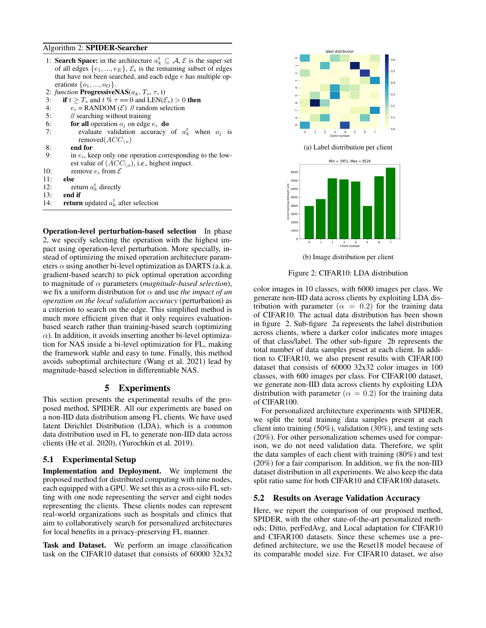#### Algorithm 2: SPIDER-Searcher

- 1: **Search Space:** in the architecture  $a_k^t \subseteq A$ ,  $\mathcal{E}$  is the super set of all edges  $\{e_1, ..., e_E\}, \mathcal{E}_s$  is the remaining subset of edges that have not been searched, and each edge  $e$  has multiple operations  $\{o_1, ..., o_O\}$ .
- 2: *function* **ProgressiveNAS**( $a_k$ ,  $T_s$ ,  $\tau$ , t)<br>3: **if**  $t > T_s$  and  $t \% \tau == 0$  and LEN( $\&$
- if  $t \geq T_s$  and  $t \% \tau == 0$  and  $LEN(\mathcal{E}_s) > 0$  then
- 4:  $e_i = \text{RANDOM}(\mathcal{E})$  // random selection
- 5: // searching without training
- 6: for all operation  $o_j$  on edge  $e_i$  do
- 7: evaluate validation accuracy of  $a_k^t$  when  $o_j$  is removed $(ACC_{\setminus o})$
- 8: end for
- 9: in  $e_i$ , keep only one operation corresponding to the lowest value of  $(ACC_{\setminus o})$ , i.e., highest impact.
- 10: remove  $e_i$  from  $\mathcal E$
- 11: **else**
- 12: return  $a_k^t$  directly
- $13:$  end if
- 14: **return** updated  $a_k^t$  after selection

Operation-level perturbation-based selection In phase 2, we specify selecting the operation with the highest impact using operation-level perturbation. More specially, instead of optimizing the mixed operation architecture parameters  $\alpha$  using another bi-level optimization as DARTS (a.k.a. gradient-based search) to pick optimal operation according to magnitude of α parameters (*magnitude-based selection*), we fix a uniform distribution for  $\alpha$  and use *the impact of an operation on the local validation accuracy* (perturbation) as a criterion to search on the edge. This simplified method is much more efficient given that it only requires evaluationbased search rather than training-based search (optimizing  $\alpha$ ). In addition, it avoids inserting another bi-level optimization for NAS inside a bi-level optimization for FL, making the framework stable and easy to tune. Finally, this method avoids suboptimal architecture (Wang et al. 2021) lead by magnitude-based selection in differentiable NAS.

#### 5 Experiments

This section presents the experimental results of the proposed method, SPIDER. All our experiments are based on a non-IID data distribution among FL clients. We have used latent Dirichlet Distribution (LDA), which is a common data distribution used in FL to generate non-IID data across clients (He et al. 2020), (Yurochkin et al. 2019).

#### 5.1 Experimental Setup

Implementation and Deployment. We implement the proposed method for distributed computing with nine nodes, each equipped with a GPU. We set this as a cross-silo FL setting with one node representing the server and eight nodes representing the clients. These clients nodes can represent real-world organizations such as hospitals and clinics that aim to collaboratively search for personalized architectures for local benefits in a privacy-preserving FL manner.

Task and Dataset. We perform an image classification task on the CIFAR10 dataset that consists of 60000 32x32



(b) Image distribution per client

#### Figure 2: CIFAR10: LDA distribution

color images in 10 classes, with 6000 images per class. We generate non-IID data across clients by exploiting LDA distribution with parameter ( $\alpha = 0.2$ ) for the training data of CIFAR10. The actual data distribution has been shown in figure 2. Sub-figure 2a represents the label distribution across clients, where a darker color indicates more images of that class/label. The other sub-figure 2b represents the total number of data samples preset at each client. In addition to CIFAR10, we also present results with CIFAR100 dataset that consists of 60000 32x32 color images in 100 classes, with 600 images per class. For CIFAR100 dataset, we generate non-IID data across clients by exploiting LDA distribution with parameter ( $\alpha = 0.2$ ) for the training data of CIFAR100.

For personalized architecture experiments with SPIDER, we split the total training data samples present at each client into training (50%), validation (30%), and testing sets (20%). For other personalization schemes used for comparison, we do not need validation data. Therefore, we split the data samples of each client with training (80%) and test (20%) for a fair comparison. In addition, we fix the non-IID dataset distribution in all experiments. We also keep the data split ratio same for both CIFAR10 and CIFAR100 datasets.

#### 5.2 Results on Average Validation Accuracy

Here, we report the comparison of our proposed method, SPIDER, with the other state-of-the-art personalized methods; Ditto, perFedAvg, and Local adaptation for CIFAR10 and CIFAR100 datasets. Since these schemes use a predefined architecture, we use the Reset18 model because of its comparable model size. For CIFAR10 dataset, we also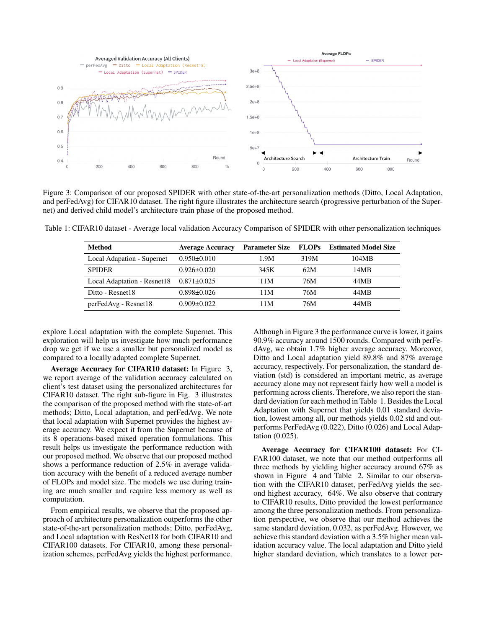

Figure 3: Comparison of our proposed SPIDER with other state-of-the-art personalization methods (Ditto, Local Adaptation, and perFedAvg) for CIFAR10 dataset. The right figure illustrates the architecture search (progressive perturbation of the Supernet) and derived child model's architecture train phase of the proposed method.

Table 1: CIFAR10 dataset - Average local validation Accuracy Comparison of SPIDER with other personalization techniques

| <b>Method</b>               | <b>Average Accuracy</b> | <b>Parameter Size</b> | <b>FLOPs</b> | <b>Estimated Model Size</b> |
|-----------------------------|-------------------------|-----------------------|--------------|-----------------------------|
| Local Adapation - Supernet  | $0.950 \pm 0.010$       | 1.9M                  | 319M         | 104MB                       |
| <b>SPIDER</b>               | $0.926 \pm 0.020$       | 345K                  | 62M          | 14MB                        |
| Local Adaptation - Resnet18 | $0.871 \pm 0.025$       | 11M                   | 76M          | 44MB                        |
| Ditto - Resnet18            | $0.898 \pm 0.026$       | 11M                   | 76M          | 44MB                        |
| perFedAvg - Resnet18        | $0.909 \pm 0.022$       | 11M                   | 76M          | 44MB                        |

explore Local adaptation with the complete Supernet. This exploration will help us investigate how much performance drop we get if we use a smaller but personalized model as compared to a locally adapted complete Supernet.

Average Accuracy for CIFAR10 dataset: In Figure 3, we report average of the validation accuracy calculated on client's test dataset using the personalized architectures for CIFAR10 dataset. The right sub-figure in Fig. 3 illustrates the comparison of the proposed method with the state-of-art methods; Ditto, Local adaptation, and perFedAvg. We note that local adaptation with Supernet provides the highest average accuracy. We expect it from the Supernet because of its 8 operations-based mixed operation formulations. This result helps us investigate the performance reduction with our proposed method. We observe that our proposed method shows a performance reduction of 2.5% in average validation accuracy with the benefit of a reduced average number of FLOPs and model size. The models we use during training are much smaller and require less memory as well as computation.

From empirical results, we observe that the proposed approach of architecture personalization outperforms the other state-of-the-art personalization methods; Ditto, perFedAvg, and Local adaptation with ResNet18 for both CIFAR10 and CIFAR100 datasets. For CIFAR10, among these personalization schemes, perFedAvg yields the highest performance.

Although in Figure 3 the performance curve is lower, it gains 90.9% accuracy around 1500 rounds. Compared with perFedAvg, we obtain 1.7% higher average accuracy. Moreover, Ditto and Local adaptation yield 89.8% and 87% average accuracy, respectively. For personalization, the standard deviation (std) is considered an important metric, as average accuracy alone may not represent fairly how well a model is performing across clients. Therefore, we also report the standard deviation for each method in Table 1. Besides the Local Adaptation with Supernet that yields 0.01 standard deviation, lowest among all, our methods yields 0.02 std and outperforms PerFedAvg (0.022), Ditto (0.026) and Local Adaptation (0.025).

Average Accuracy for CIFAR100 dataset: For CI-FAR100 dataset, we note that our method outperforms all three methods by yielding higher accuracy around 67% as shown in Figure 4 and Table 2. Similar to our observation with the CIFAR10 dataset, perFedAvg yields the second highest accuracy, 64%. We also observe that contrary to CIFAR10 results, Ditto provided the lowest performance among the three personalization methods. From personalization perspective, we observe that our method achieves the same standard deviation, 0.032, as perFedAvg. However, we achieve this standard deviation with a 3.5% higher mean validation accuracy value. The local adaptation and Ditto yield higher standard deviation, which translates to a lower per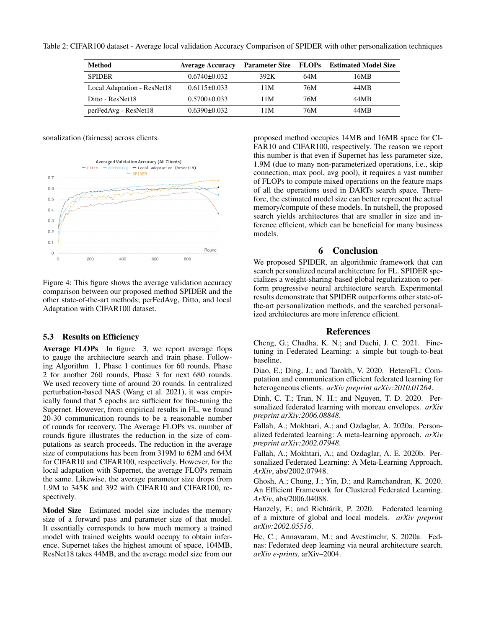Table 2: CIFAR100 dataset - Average local validation Accuracy Comparison of SPIDER with other personalization techniques

| Method                      | <b>Average Accuracy</b> |      |     | Parameter Size FLOPs Estimated Model Size |
|-----------------------------|-------------------------|------|-----|-------------------------------------------|
| <b>SPIDER</b>               | $0.6740\pm0.032$        | 392K | 64M | 16MB                                      |
| Local Adaptation - ResNet18 | $0.6115 \pm 0.033$      | 11M  | 76M | 44MB                                      |
| Ditto - ResNet18            | $0.5700 \pm 0.033$      | 11M  | 76M | 44MB                                      |
| perFedAvg - ResNet18        | $0.6390\pm0.032$        | 11M  | 76M | 44MB                                      |

sonalization (fairness) across clients.



Figure 4: This figure shows the average validation accuracy comparison between our proposed method SPIDER and the other state-of-the-art methods; perFedAvg, Ditto, and local Adaptation with CIFAR100 dataset.

#### 5.3 Results on Efficiency

Average FLOPs In figure 3, we report average flops to gauge the architecture search and train phase. Following Algorithm 1, Phase 1 continues for 60 rounds, Phase 2 for another 260 rounds, Phase 3 for next 680 rounds. We used recovery time of around 20 rounds. In centralized perturbation-based NAS (Wang et al. 2021), it was empirically found that 5 epochs are sufficient for fine-tuning the Supernet. However, from empirical results in FL, we found 20-30 communication rounds to be a reasonable number of rounds for recovery. The Average FLOPs vs. number of rounds figure illustrates the reduction in the size of computations as search proceeds. The reduction in the average size of computations has been from 319M to 62M and 64M for CIFAR10 and CIFAR100, respectively. However, for the local adaptation with Supernet, the average FLOPs remain the same. Likewise, the average parameter size drops from 1.9M to 345K and 392 with CIFAR10 and CIFAR100, respectively.

Model Size Estimated model size includes the memory size of a forward pass and parameter size of that model. It essentially corresponds to how much memory a trained model with trained weights would occupy to obtain inference. Supernet takes the highest amount of space, 104MB, ResNet18 takes 44MB, and the average model size from our

proposed method occupies 14MB and 16MB space for CI-FAR10 and CIFAR100, respectively. The reason we report this number is that even if Supernet has less parameter size, 1.9M (due to many non-parameterized operations, i.e., skip connection, max pool, avg pool), it requires a vast number of FLOPs to compute mixed operations on the feature maps of all the operations used in DARTs search space. Therefore, the estimated model size can better represent the actual memory/compute of these models. In nutshell, the proposed search yields architectures that are smaller in size and inference efficient, which can be beneficial for many business models.

#### 6 Conclusion

We proposed SPIDER, an algorithmic framework that can search personalized neural architecture for FL. SPIDER specializes a weight-sharing-based global regularization to perform progressive neural architecture search. Experimental results demonstrate that SPIDER outperforms other state-ofthe-art personalization methods, and the searched personalized architectures are more inference efficient.

#### References

Cheng, G.; Chadha, K. N.; and Duchi, J. C. 2021. Finetuning in Federated Learning: a simple but tough-to-beat baseline.

Diao, E.; Ding, J.; and Tarokh, V. 2020. HeteroFL: Computation and communication efficient federated learning for heterogeneous clients. *arXiv preprint arXiv:2010.01264*.

Dinh, C. T.; Tran, N. H.; and Nguyen, T. D. 2020. Personalized federated learning with moreau envelopes. *arXiv preprint arXiv:2006.08848*.

Fallah, A.; Mokhtari, A.; and Ozdaglar, A. 2020a. Personalized federated learning: A meta-learning approach. *arXiv preprint arXiv:2002.07948*.

Fallah, A.; Mokhtari, A.; and Ozdaglar, A. E. 2020b. Personalized Federated Learning: A Meta-Learning Approach. *ArXiv*, abs/2002.07948.

Ghosh, A.; Chung, J.; Yin, D.; and Ramchandran, K. 2020. An Efficient Framework for Clustered Federated Learning. *ArXiv*, abs/2006.04088.

Hanzely, F.; and Richtárik, P. 2020. Federated learning of a mixture of global and local models. *arXiv preprint arXiv:2002.05516*.

He, C.; Annavaram, M.; and Avestimehr, S. 2020a. Fednas: Federated deep learning via neural architecture search. *arXiv e-prints*, arXiv–2004.